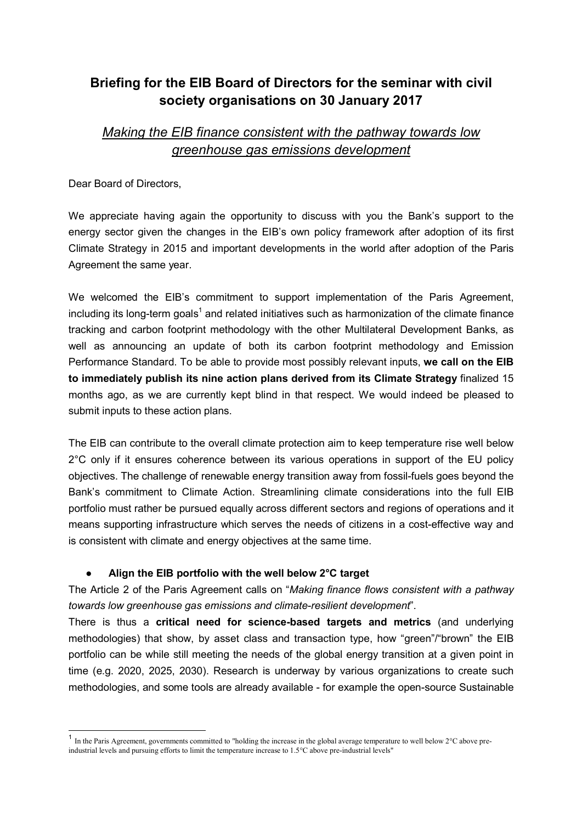# Briefing for the EIB Board of Directors for the seminar with civil society organisations on 30 January 2017

# Making the EIB finance consistent with the pathway towards low greenhouse gas emissions development

Dear Board of Directors,

 $\overline{1}$ 

We appreciate having again the opportunity to discuss with you the Bank's support to the energy sector given the changes in the EIB's own policy framework after adoption of its first Climate Strategy in 2015 and important developments in the world after adoption of the Paris Agreement the same year.

We welcomed the EIB's commitment to support implementation of the Paris Agreement, including its long-term goals $^{\rm 1}$  and related initiatives such as harmonization of the climate finance tracking and carbon footprint methodology with the other Multilateral Development Banks, as well as announcing an update of both its carbon footprint methodology and Emission Performance Standard. To be able to provide most possibly relevant inputs, we call on the EIB to immediately publish its nine action plans derived from its Climate Strategy finalized 15 months ago, as we are currently kept blind in that respect. We would indeed be pleased to submit inputs to these action plans.

The EIB can contribute to the overall climate protection aim to keep temperature rise well below 2°C only if it ensures coherence between its various operations in support of the EU policy objectives. The challenge of renewable energy transition away from fossil-fuels goes beyond the Bank's commitment to Climate Action. Streamlining climate considerations into the full EIB portfolio must rather be pursued equally across different sectors and regions of operations and it means supporting infrastructure which serves the needs of citizens in a cost-effective way and is consistent with climate and energy objectives at the same time.

### Align the EIB portfolio with the well below  $2^{\circ}$ C target

The Article 2 of the Paris Agreement calls on "Making finance flows consistent with a pathway towards low greenhouse gas emissions and climate-resilient development".

There is thus a critical need for science-based targets and metrics (and underlying methodologies) that show, by asset class and transaction type, how "green"/"brown" the EIB portfolio can be while still meeting the needs of the global energy transition at a given point in time (e.g. 2020, 2025, 2030). Research is underway by various organizations to create such methodologies, and some tools are already available - for example the open-source Sustainable

<sup>&</sup>lt;sup>1</sup> In the Paris Agreement, governments committed to "holding the increase in the global average temperature to well below 2°C above preindustrial levels and pursuing efforts to limit the temperature increase to 1.5°C above pre-industrial levels"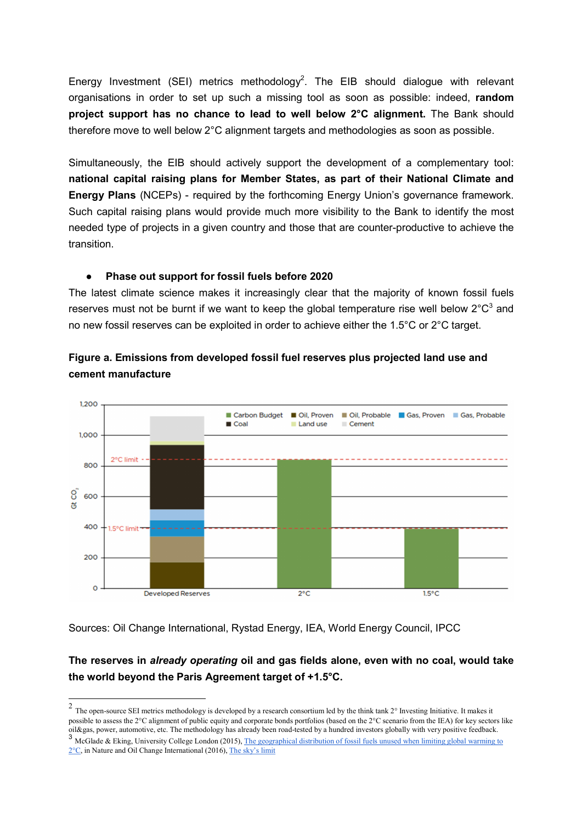Energy Investment (SEI) metrics methodology<sup>2</sup>. The EIB should dialogue with relevant organisations in order to set up such a missing tool as soon as possible: indeed, random project support has no chance to lead to well below 2°C alignment. The Bank should therefore move to well below 2°C alignment targets and methodologies as soon as possible.

Simultaneously, the EIB should actively support the development of a complementary tool: national capital raising plans for Member States, as part of their National Climate and Energy Plans (NCEPs) - required by the forthcoming Energy Union's governance framework. Such capital raising plans would provide much more visibility to the Bank to identify the most needed type of projects in a given country and those that are counter-productive to achieve the transition.

#### ● Phase out support for fossil fuels before 2020

The latest climate science makes it increasingly clear that the majority of known fossil fuels reserves must not be burnt if we want to keep the global temperature rise well below 2°C<sup>3</sup> and no new fossil reserves can be exploited in order to achieve either the 1.5°C or 2°C target.





### Sources: Oil Change International, Rystad Energy, IEA, World Energy Council, IPCC

## The reserves in already operating oil and gas fields alone, even with no coal, would take the world beyond the Paris Agreement target of +1.5°C.

<sup>&</sup>lt;sup>2</sup> The open-source SEI metrics methodology is developed by a research consortium led by the think tank 2° Investing Initiative. It makes it possible to assess the 2°C alignment of public equity and corporate bonds portfolios (based on the 2°C scenario from the IEA) for key sectors like oil&gas, power, automotive, etc. The methodology has already been road-tested by a hundred investors globally with very positive feedback.

<sup>&</sup>lt;sup>3</sup> McGlade & Eking, University College London (2015), The geographical distribution of fossil fuels unused when limiting global warming to 2°C, in Nature and Oil Change International (2016), The sky's limit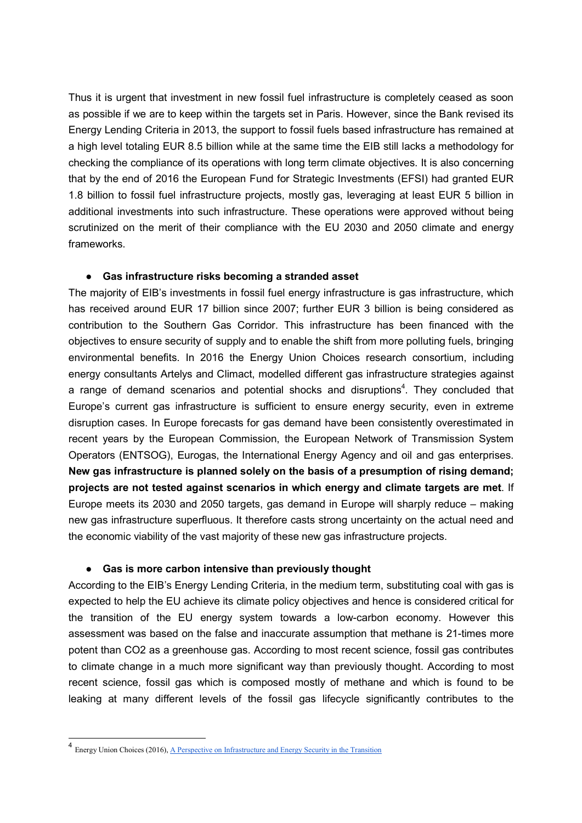Thus it is urgent that investment in new fossil fuel infrastructure is completely ceased as soon as possible if we are to keep within the targets set in Paris. However, since the Bank revised its Energy Lending Criteria in 2013, the support to fossil fuels based infrastructure has remained at a high level totaling EUR 8.5 billion while at the same time the EIB still lacks a methodology for checking the compliance of its operations with long term climate objectives. It is also concerning that by the end of 2016 the European Fund for Strategic Investments (EFSI) had granted EUR 1.8 billion to fossil fuel infrastructure projects, mostly gas, leveraging at least EUR 5 billion in additional investments into such infrastructure. These operations were approved without being scrutinized on the merit of their compliance with the EU 2030 and 2050 climate and energy frameworks.

#### ● Gas infrastructure risks becoming a stranded asset

The majority of EIB's investments in fossil fuel energy infrastructure is gas infrastructure, which has received around EUR 17 billion since 2007; further EUR 3 billion is being considered as contribution to the Southern Gas Corridor. This infrastructure has been financed with the objectives to ensure security of supply and to enable the shift from more polluting fuels, bringing environmental benefits. In 2016 the Energy Union Choices research consortium, including energy consultants Artelys and Climact, modelled different gas infrastructure strategies against a range of demand scenarios and potential shocks and disruptions<sup>4</sup>. They concluded that Europe's current gas infrastructure is sufficient to ensure energy security, even in extreme disruption cases. In Europe forecasts for gas demand have been consistently overestimated in recent years by the European Commission, the European Network of Transmission System Operators (ENTSOG), Eurogas, the International Energy Agency and oil and gas enterprises. New gas infrastructure is planned solely on the basis of a presumption of rising demand; projects are not tested against scenarios in which energy and climate targets are met. If Europe meets its 2030 and 2050 targets, gas demand in Europe will sharply reduce – making new gas infrastructure superfluous. It therefore casts strong uncertainty on the actual need and the economic viability of the vast majority of these new gas infrastructure projects.

#### ● Gas is more carbon intensive than previously thought

According to the EIB's Energy Lending Criteria, in the medium term, substituting coal with gas is expected to help the EU achieve its climate policy objectives and hence is considered critical for the transition of the EU energy system towards a low-carbon economy. However this assessment was based on the false and inaccurate assumption that methane is 21-times more potent than CO2 as a greenhouse gas. According to most recent science, fossil gas contributes to climate change in a much more significant way than previously thought. According to most recent science, fossil gas which is composed mostly of methane and which is found to be leaking at many different levels of the fossil gas lifecycle significantly contributes to the

-

<sup>&</sup>lt;sup>4</sup> Energy Union Choices (2016), A Perspective on Infrastructure and Energy Security in the Transition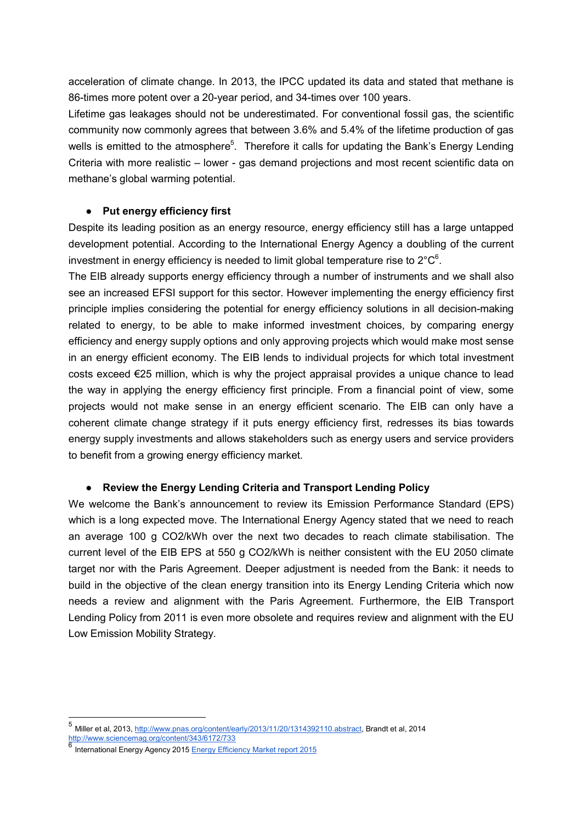acceleration of climate change. In 2013, the IPCC updated its data and stated that methane is 86-times more potent over a 20-year period, and 34-times over 100 years.

Lifetime gas leakages should not be underestimated. For conventional fossil gas, the scientific community now commonly agrees that between 3.6% and 5.4% of the lifetime production of gas wells is emitted to the atmosphere<sup>5</sup>. Therefore it calls for updating the Bank's Energy Lending Criteria with more realistic – lower - gas demand projections and most recent scientific data on methane's global warming potential.

#### ● Put energy efficiency first

Despite its leading position as an energy resource, energy efficiency still has a large untapped development potential. According to the International Energy Agency a doubling of the current investment in energy efficiency is needed to limit global temperature rise to  $2^{\circ}C^6$ .

The EIB already supports energy efficiency through a number of instruments and we shall also see an increased EFSI support for this sector. However implementing the energy efficiency first principle implies considering the potential for energy efficiency solutions in all decision-making related to energy, to be able to make informed investment choices, by comparing energy efficiency and energy supply options and only approving projects which would make most sense in an energy efficient economy. The EIB lends to individual projects for which total investment costs exceed €25 million, which is why the project appraisal provides a unique chance to lead the way in applying the energy efficiency first principle. From a financial point of view, some projects would not make sense in an energy efficient scenario. The EIB can only have a coherent climate change strategy if it puts energy efficiency first, redresses its bias towards energy supply investments and allows stakeholders such as energy users and service providers to benefit from a growing energy efficiency market.

#### ● Review the Energy Lending Criteria and Transport Lending Policy

We welcome the Bank's announcement to review its Emission Performance Standard (EPS) which is a long expected move. The International Energy Agency stated that we need to reach an average 100 g CO2/kWh over the next two decades to reach climate stabilisation. The current level of the EIB EPS at 550 g CO2/kWh is neither consistent with the EU 2050 climate target nor with the Paris Agreement. Deeper adjustment is needed from the Bank: it needs to build in the objective of the clean energy transition into its Energy Lending Criteria which now needs a review and alignment with the Paris Agreement. Furthermore, the EIB Transport Lending Policy from 2011 is even more obsolete and requires review and alignment with the EU Low Emission Mobility Strategy.

-

<sup>5</sup> Miller et al, 2013, http://www.pnas.org/content/early/2013/11/20/1314392110.abstract, Brandt et al, 2014 http://www.sciencemag.org/content/343/6172/733

<sup>6</sup> International Energy Agency 2015 Energy Efficiency Market report 2015